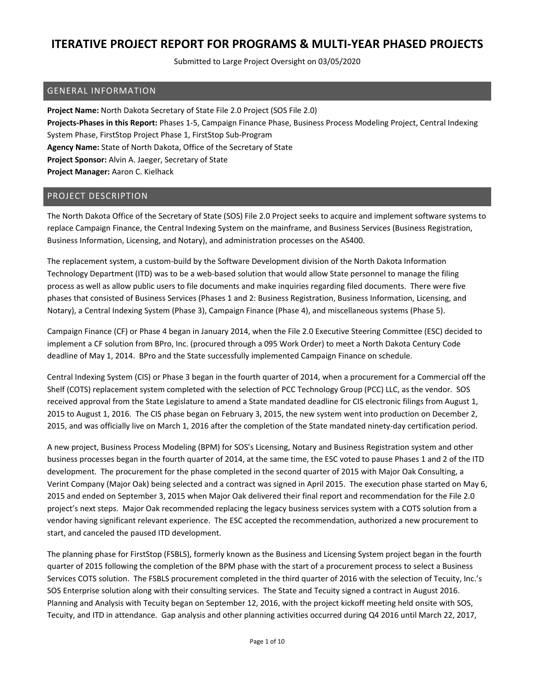Submitted to Large Project Oversight on 03/05/2020

#### GENERAL INFORMATION

**Project Name:** North Dakota Secretary of State File 2.0 Project (SOS File 2.0) **Projects‐Phases in this Report:** Phases 1‐5, Campaign Finance Phase, Business Process Modeling Project, Central Indexing System Phase, FirstStop Project Phase 1, FirstStop Sub‐Program **Agency Name:** State of North Dakota, Office of the Secretary of State **Project Sponsor:** Alvin A. Jaeger, Secretary of State **Project Manager:** Aaron C. Kielhack

#### PROJECT DESCRIPTION

The North Dakota Office of the Secretary of State (SOS) File 2.0 Project seeks to acquire and implement software systems to replace Campaign Finance, the Central Indexing System on the mainframe, and Business Services (Business Registration, Business Information, Licensing, and Notary), and administration processes on the AS400.

The replacement system, a custom‐build by the Software Development division of the North Dakota Information Technology Department (ITD) was to be a web‐based solution that would allow State personnel to manage the filing process as well as allow public users to file documents and make inquiries regarding filed documents. There were five phases that consisted of Business Services (Phases 1 and 2: Business Registration, Business Information, Licensing, and Notary), a Central Indexing System (Phase 3), Campaign Finance (Phase 4), and miscellaneous systems (Phase 5).

Campaign Finance (CF) or Phase 4 began in January 2014, when the File 2.0 Executive Steering Committee (ESC) decided to implement a CF solution from BPro, Inc. (procured through a 095 Work Order) to meet a North Dakota Century Code deadline of May 1, 2014. BPro and the State successfully implemented Campaign Finance on schedule.

Central Indexing System (CIS) or Phase 3 began in the fourth quarter of 2014, when a procurement for a Commercial off the Shelf (COTS) replacement system completed with the selection of PCC Technology Group (PCC) LLC, as the vendor. SOS received approval from the State Legislature to amend a State mandated deadline for CIS electronic filings from August 1, 2015 to August 1, 2016. The CIS phase began on February 3, 2015, the new system went into production on December 2, 2015, and was officially live on March 1, 2016 after the completion of the State mandated ninety‐day certification period.

A new project, Business Process Modeling (BPM) for SOS's Licensing, Notary and Business Registration system and other business processes began in the fourth quarter of 2014, at the same time, the ESC voted to pause Phases 1 and 2 of the ITD development. The procurement for the phase completed in the second quarter of 2015 with Major Oak Consulting, a Verint Company (Major Oak) being selected and a contract was signed in April 2015. The execution phase started on May 6, 2015 and ended on September 3, 2015 when Major Oak delivered their final report and recommendation for the File 2.0 project's next steps. Major Oak recommended replacing the legacy business services system with a COTS solution from a vendor having significant relevant experience. The ESC accepted the recommendation, authorized a new procurement to start, and canceled the paused ITD development.

The planning phase for FirstStop (FSBLS), formerly known as the Business and Licensing System project began in the fourth quarter of 2015 following the completion of the BPM phase with the start of a procurement process to select a Business Services COTS solution. The FSBLS procurement completed in the third quarter of 2016 with the selection of Tecuity, Inc.'s SOS Enterprise solution along with their consulting services. The State and Tecuity signed a contract in August 2016. Planning and Analysis with Tecuity began on September 12, 2016, with the project kickoff meeting held onsite with SOS, Tecuity, and ITD in attendance. Gap analysis and other planning activities occurred during Q4 2016 until March 22, 2017,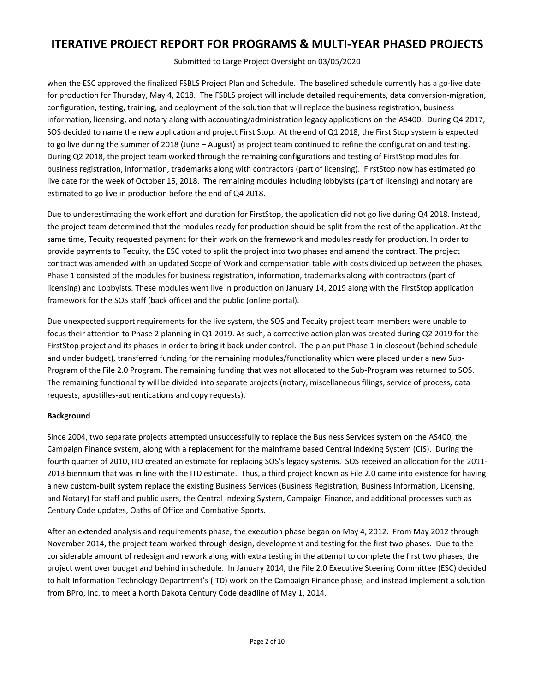Submitted to Large Project Oversight on 03/05/2020

when the ESC approved the finalized FSBLS Project Plan and Schedule. The baselined schedule currently has a go-live date for production for Thursday, May 4, 2018. The FSBLS project will include detailed requirements, data conversion‐migration, configuration, testing, training, and deployment of the solution that will replace the business registration, business information, licensing, and notary along with accounting/administration legacy applications on the AS400. During Q4 2017, SOS decided to name the new application and project First Stop. At the end of Q1 2018, the First Stop system is expected to go live during the summer of 2018 (June – August) as project team continued to refine the configuration and testing. During Q2 2018, the project team worked through the remaining configurations and testing of FirstStop modules for business registration, information, trademarks along with contractors (part of licensing). FirstStop now has estimated go live date for the week of October 15, 2018. The remaining modules including lobbyists (part of licensing) and notary are estimated to go live in production before the end of Q4 2018.

Due to underestimating the work effort and duration for FirstStop, the application did not go live during Q4 2018. Instead, the project team determined that the modules ready for production should be split from the rest of the application. At the same time, Tecuity requested payment for their work on the framework and modules ready for production. In order to provide payments to Tecuity, the ESC voted to split the project into two phases and amend the contract. The project contract was amended with an updated Scope of Work and compensation table with costs divided up between the phases. Phase 1 consisted of the modules for business registration, information, trademarks along with contractors (part of licensing) and Lobbyists. These modules went live in production on January 14, 2019 along with the FirstStop application framework for the SOS staff (back office) and the public (online portal).

Due unexpected support requirements for the live system, the SOS and Tecuity project team members were unable to focus their attention to Phase 2 planning in Q1 2019. As such, a corrective action plan was created during Q2 2019 for the FirstStop project and its phases in order to bring it back under control. The plan put Phase 1 in closeout (behind schedule and under budget), transferred funding for the remaining modules/functionality which were placed under a new Sub-Program of the File 2.0 Program. The remaining funding that was not allocated to the Sub‐Program was returned to SOS. The remaining functionality will be divided into separate projects (notary, miscellaneous filings, service of process, data requests, apostilles‐authentications and copy requests).

#### **Background**

Since 2004, two separate projects attempted unsuccessfully to replace the Business Services system on the AS400, the Campaign Finance system, along with a replacement for the mainframe based Central Indexing System (CIS). During the fourth quarter of 2010, ITD created an estimate for replacing SOS's legacy systems. SOS received an allocation for the 2011‐ 2013 biennium that was in line with the ITD estimate. Thus, a third project known as File 2.0 came into existence for having a new custom‐built system replace the existing Business Services (Business Registration, Business Information, Licensing, and Notary) for staff and public users, the Central Indexing System, Campaign Finance, and additional processes such as Century Code updates, Oaths of Office and Combative Sports.

After an extended analysis and requirements phase, the execution phase began on May 4, 2012. From May 2012 through November 2014, the project team worked through design, development and testing for the first two phases. Due to the considerable amount of redesign and rework along with extra testing in the attempt to complete the first two phases, the project went over budget and behind in schedule. In January 2014, the File 2.0 Executive Steering Committee (ESC) decided to halt Information Technology Department's (ITD) work on the Campaign Finance phase, and instead implement a solution from BPro, Inc. to meet a North Dakota Century Code deadline of May 1, 2014.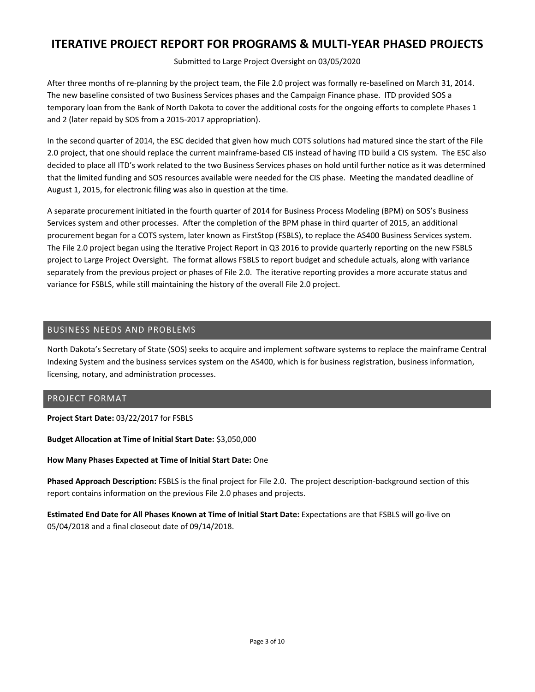Submitted to Large Project Oversight on 03/05/2020

After three months of re‐planning by the project team, the File 2.0 project was formally re‐baselined on March 31, 2014. The new baseline consisted of two Business Services phases and the Campaign Finance phase. ITD provided SOS a temporary loan from the Bank of North Dakota to cover the additional costs for the ongoing efforts to complete Phases 1 and 2 (later repaid by SOS from a 2015‐2017 appropriation).

In the second quarter of 2014, the ESC decided that given how much COTS solutions had matured since the start of the File 2.0 project, that one should replace the current mainframe‐based CIS instead of having ITD build a CIS system. The ESC also decided to place all ITD's work related to the two Business Services phases on hold until further notice as it was determined that the limited funding and SOS resources available were needed for the CIS phase. Meeting the mandated deadline of August 1, 2015, for electronic filing was also in question at the time.

A separate procurement initiated in the fourth quarter of 2014 for Business Process Modeling (BPM) on SOS's Business Services system and other processes. After the completion of the BPM phase in third quarter of 2015, an additional procurement began for a COTS system, later known as FirstStop (FSBLS), to replace the AS400 Business Services system. The File 2.0 project began using the Iterative Project Report in Q3 2016 to provide quarterly reporting on the new FSBLS project to Large Project Oversight. The format allows FSBLS to report budget and schedule actuals, along with variance separately from the previous project or phases of File 2.0. The iterative reporting provides a more accurate status and variance for FSBLS, while still maintaining the history of the overall File 2.0 project.

#### BUSINESS NEEDS AND PROBLEMS

North Dakota's Secretary of State (SOS) seeks to acquire and implement software systems to replace the mainframe Central Indexing System and the business services system on the AS400, which is for business registration, business information, licensing, notary, and administration processes.

#### PROJECT FORMAT

**Project Start Date:** 03/22/2017 for FSBLS

**Budget Allocation at Time of Initial Start Date:** \$3,050,000

**How Many Phases Expected at Time of Initial Start Date:** One

**Phased Approach Description:** FSBLS is the final project for File 2.0. The project description‐background section of this report contains information on the previous File 2.0 phases and projects.

**Estimated End Date for All Phases Known at Time of Initial Start Date:** Expectations are that FSBLS will go‐live on 05/04/2018 and a final closeout date of 09/14/2018.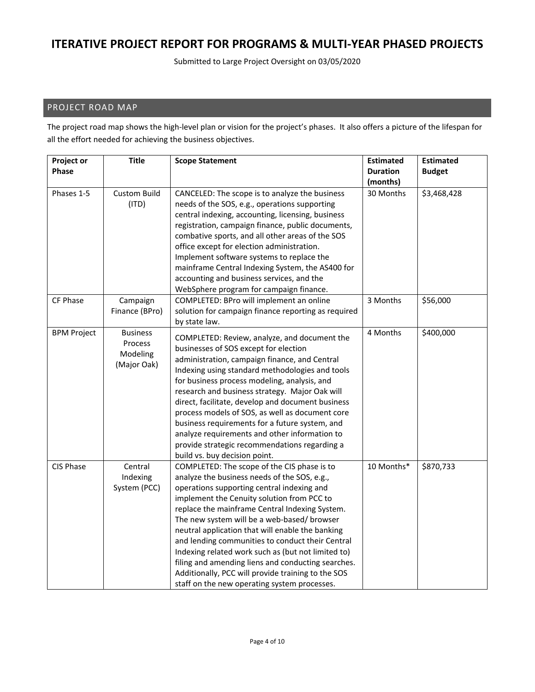Submitted to Large Project Oversight on 03/05/2020

### PROJECT ROAD MAP

The project road map shows the high-level plan or vision for the project's phases. It also offers a picture of the lifespan for all the effort needed for achieving the business objectives.

| Project or         | <b>Title</b>        | <b>Scope Statement</b>                                                                             | <b>Estimated</b> | <b>Estimated</b> |
|--------------------|---------------------|----------------------------------------------------------------------------------------------------|------------------|------------------|
| Phase              |                     |                                                                                                    | <b>Duration</b>  | <b>Budget</b>    |
|                    |                     |                                                                                                    | (months)         |                  |
| Phases 1-5         | <b>Custom Build</b> | CANCELED: The scope is to analyze the business                                                     | 30 Months        | \$3,468,428      |
|                    | (ITD)               | needs of the SOS, e.g., operations supporting<br>central indexing, accounting, licensing, business |                  |                  |
|                    |                     |                                                                                                    |                  |                  |
|                    |                     | registration, campaign finance, public documents,                                                  |                  |                  |
|                    |                     | combative sports, and all other areas of the SOS<br>office except for election administration.     |                  |                  |
|                    |                     | Implement software systems to replace the                                                          |                  |                  |
|                    |                     |                                                                                                    |                  |                  |
|                    |                     | mainframe Central Indexing System, the AS400 for                                                   |                  |                  |
|                    |                     | accounting and business services, and the                                                          |                  |                  |
| CF Phase           |                     | WebSphere program for campaign finance.                                                            | 3 Months         | \$56,000         |
|                    | Campaign            | COMPLETED: BPro will implement an online                                                           |                  |                  |
|                    | Finance (BPro)      | solution for campaign finance reporting as required                                                |                  |                  |
| <b>BPM Project</b> | <b>Business</b>     | by state law.                                                                                      | 4 Months         | \$400,000        |
|                    | Process             | COMPLETED: Review, analyze, and document the                                                       |                  |                  |
|                    | Modeling            | businesses of SOS except for election                                                              |                  |                  |
|                    |                     | administration, campaign finance, and Central                                                      |                  |                  |
|                    | (Major Oak)         | Indexing using standard methodologies and tools                                                    |                  |                  |
|                    |                     | for business process modeling, analysis, and                                                       |                  |                  |
|                    |                     | research and business strategy. Major Oak will                                                     |                  |                  |
|                    |                     | direct, facilitate, develop and document business                                                  |                  |                  |
|                    |                     | process models of SOS, as well as document core                                                    |                  |                  |
|                    |                     | business requirements for a future system, and                                                     |                  |                  |
|                    |                     | analyze requirements and other information to                                                      |                  |                  |
|                    |                     | provide strategic recommendations regarding a                                                      |                  |                  |
|                    |                     | build vs. buy decision point.                                                                      |                  |                  |
| CIS Phase          | Central             | COMPLETED: The scope of the CIS phase is to                                                        | 10 Months*       | \$870,733        |
|                    | Indexing            | analyze the business needs of the SOS, e.g.,                                                       |                  |                  |
|                    | System (PCC)        | operations supporting central indexing and                                                         |                  |                  |
|                    |                     | implement the Cenuity solution from PCC to                                                         |                  |                  |
|                    |                     | replace the mainframe Central Indexing System.                                                     |                  |                  |
|                    |                     | The new system will be a web-based/ browser                                                        |                  |                  |
|                    |                     | neutral application that will enable the banking                                                   |                  |                  |
|                    |                     | and lending communities to conduct their Central                                                   |                  |                  |
|                    |                     | Indexing related work such as (but not limited to)                                                 |                  |                  |
|                    |                     | filing and amending liens and conducting searches.                                                 |                  |                  |
|                    |                     | Additionally, PCC will provide training to the SOS                                                 |                  |                  |
|                    |                     | staff on the new operating system processes.                                                       |                  |                  |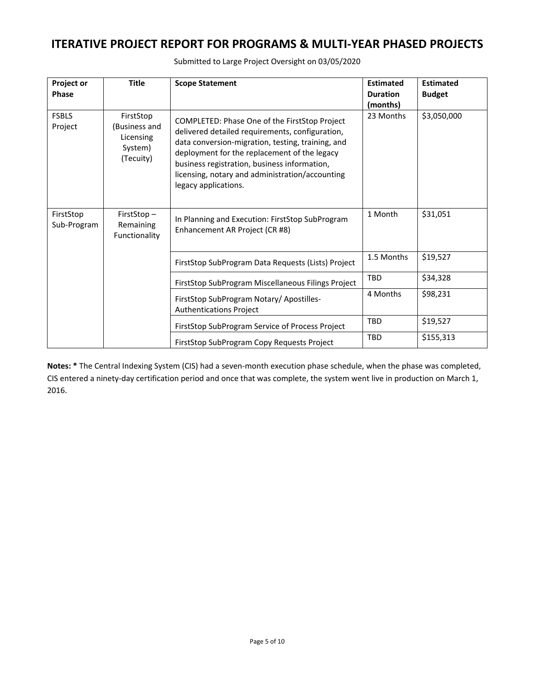| Project or<br>Phase      | <b>Title</b>                                                    | <b>Scope Statement</b>                                                                                                                                                                                                                                                                                                           | <b>Estimated</b><br><b>Duration</b><br>(months) | <b>Estimated</b><br><b>Budget</b> |
|--------------------------|-----------------------------------------------------------------|----------------------------------------------------------------------------------------------------------------------------------------------------------------------------------------------------------------------------------------------------------------------------------------------------------------------------------|-------------------------------------------------|-----------------------------------|
| <b>FSBLS</b><br>Project  | FirstStop<br>(Business and<br>Licensing<br>System)<br>(Tecuity) | COMPLETED: Phase One of the FirstStop Project<br>delivered detailed requirements, configuration,<br>data conversion-migration, testing, training, and<br>deployment for the replacement of the legacy<br>business registration, business information,<br>licensing, notary and administration/accounting<br>legacy applications. | 23 Months                                       | \$3,050,000                       |
| FirstStop<br>Sub-Program | FirstStop-<br>Remaining<br>Functionality                        | In Planning and Execution: FirstStop SubProgram<br>Enhancement AR Project (CR #8)                                                                                                                                                                                                                                                | 1 Month                                         | \$31,051                          |
|                          |                                                                 | FirstStop SubProgram Data Requests (Lists) Project                                                                                                                                                                                                                                                                               | 1.5 Months                                      | \$19,527                          |
|                          |                                                                 | FirstStop SubProgram Miscellaneous Filings Project                                                                                                                                                                                                                                                                               | <b>TBD</b>                                      | \$34,328                          |
|                          |                                                                 | FirstStop SubProgram Notary/ Apostilles-<br><b>Authentications Project</b>                                                                                                                                                                                                                                                       | 4 Months                                        | \$98,231                          |
|                          |                                                                 | FirstStop SubProgram Service of Process Project                                                                                                                                                                                                                                                                                  | TBD                                             | \$19,527                          |
|                          |                                                                 | FirstStop SubProgram Copy Requests Project                                                                                                                                                                                                                                                                                       | <b>TBD</b>                                      | \$155,313                         |

Submitted to Large Project Oversight on 03/05/2020

**Notes: \*** The Central Indexing System (CIS) had a seven‐month execution phase schedule, when the phase was completed, CIS entered a ninety‐day certification period and once that was complete, the system went live in production on March 1, 2016.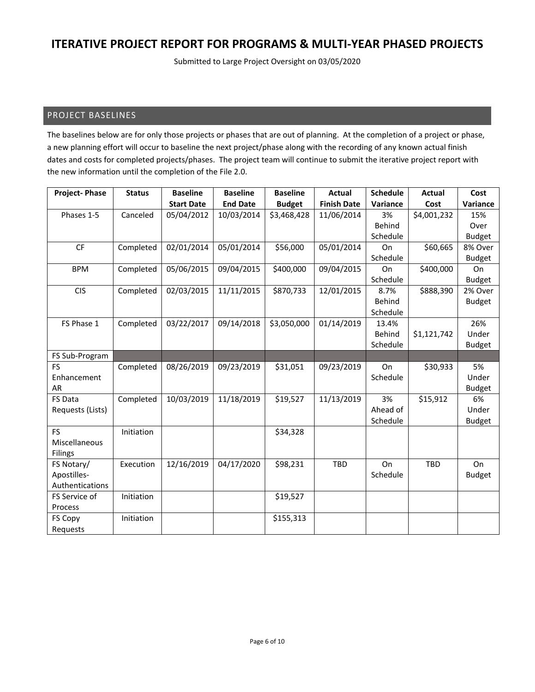Submitted to Large Project Oversight on 03/05/2020

#### PROJECT BASELINES

The baselines below are for only those projects or phases that are out of planning. At the completion of a project or phase, a new planning effort will occur to baseline the next project/phase along with the recording of any known actual finish dates and costs for completed projects/phases. The project team will continue to submit the iterative project report with the new information until the completion of the File 2.0.

| <b>Project-Phase</b> | <b>Status</b> | <b>Baseline</b>   | <b>Baseline</b> | <b>Baseline</b> | <b>Actual</b>      | <b>Schedule</b> | <b>Actual</b> | Cost          |
|----------------------|---------------|-------------------|-----------------|-----------------|--------------------|-----------------|---------------|---------------|
|                      |               | <b>Start Date</b> | <b>End Date</b> | <b>Budget</b>   | <b>Finish Date</b> | Variance        | Cost          | Variance      |
| Phases 1-5           | Canceled      | 05/04/2012        | 10/03/2014      | \$3,468,428     | 11/06/2014         | 3%              | \$4,001,232   | 15%           |
|                      |               |                   |                 |                 |                    | <b>Behind</b>   |               | Over          |
|                      |               |                   |                 |                 |                    | Schedule        |               | <b>Budget</b> |
| CF                   | Completed     | 02/01/2014        | 05/01/2014      | \$56,000        | 05/01/2014         | On              | \$60,665      | 8% Over       |
|                      |               |                   |                 |                 |                    | Schedule        |               | <b>Budget</b> |
| <b>BPM</b>           | Completed     | 05/06/2015        | 09/04/2015      | \$400,000       | 09/04/2015         | On              | \$400,000     | On            |
|                      |               |                   |                 |                 |                    | Schedule        |               | <b>Budget</b> |
| <b>CIS</b>           | Completed     | 02/03/2015        | 11/11/2015      | \$870,733       | 12/01/2015         | 8.7%            | \$888,390     | 2% Over       |
|                      |               |                   |                 |                 |                    | Behind          |               | <b>Budget</b> |
|                      |               |                   |                 |                 |                    | Schedule        |               |               |
| FS Phase 1           | Completed     | 03/22/2017        | 09/14/2018      | \$3,050,000     | 01/14/2019         | 13.4%           |               | 26%           |
|                      |               |                   |                 |                 |                    | Behind          | \$1,121,742   | Under         |
|                      |               |                   |                 |                 |                    | Schedule        |               | <b>Budget</b> |
| FS Sub-Program       |               |                   |                 |                 |                    |                 |               |               |
| <b>FS</b>            | Completed     | 08/26/2019        | 09/23/2019      | \$31,051        | 09/23/2019         | On              | \$30,933      | 5%            |
| Enhancement          |               |                   |                 |                 |                    | Schedule        |               | Under         |
| <b>AR</b>            |               |                   |                 |                 |                    |                 |               | <b>Budget</b> |
| FS Data              | Completed     | 10/03/2019        | 11/18/2019      | \$19,527        | 11/13/2019         | 3%              | \$15,912      | 6%            |
| Requests (Lists)     |               |                   |                 |                 |                    | Ahead of        |               | Under         |
|                      |               |                   |                 |                 |                    | Schedule        |               | <b>Budget</b> |
| <b>FS</b>            | Initiation    |                   |                 | \$34,328        |                    |                 |               |               |
| Miscellaneous        |               |                   |                 |                 |                    |                 |               |               |
| Filings              |               |                   |                 |                 |                    |                 |               |               |
| FS Notary/           | Execution     | 12/16/2019        | 04/17/2020      | \$98,231        | <b>TBD</b>         | On              | <b>TBD</b>    | On            |
| Apostilles-          |               |                   |                 |                 |                    | Schedule        |               | <b>Budget</b> |
| Authentications      |               |                   |                 |                 |                    |                 |               |               |
| FS Service of        | Initiation    |                   |                 | \$19,527        |                    |                 |               |               |
| Process              |               |                   |                 |                 |                    |                 |               |               |
| FS Copy              | Initiation    |                   |                 | \$155,313       |                    |                 |               |               |
| Requests             |               |                   |                 |                 |                    |                 |               |               |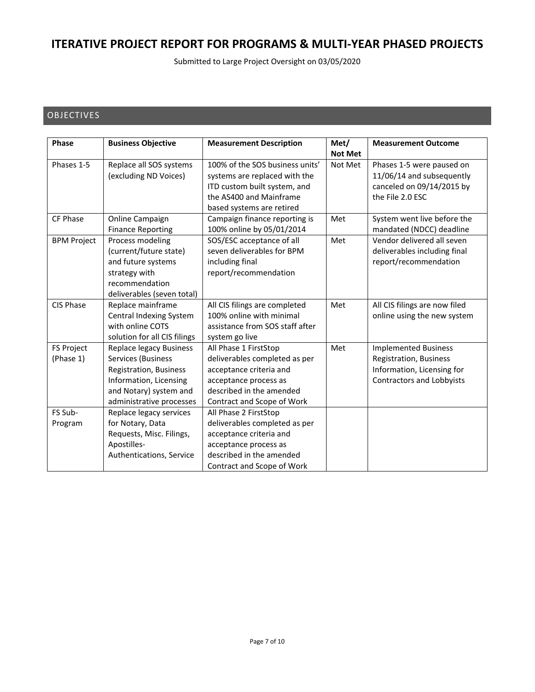Submitted to Large Project Oversight on 03/05/2020

#### OBJECTIVES

| <b>Phase</b>                   | <b>Business Objective</b>                                                                                                                                      | <b>Measurement Description</b>                                                                                                                                       | Met/<br><b>Not Met</b> | <b>Measurement Outcome</b>                                                                                              |
|--------------------------------|----------------------------------------------------------------------------------------------------------------------------------------------------------------|----------------------------------------------------------------------------------------------------------------------------------------------------------------------|------------------------|-------------------------------------------------------------------------------------------------------------------------|
| Phases 1-5                     | Replace all SOS systems<br>(excluding ND Voices)                                                                                                               | 100% of the SOS business units'<br>systems are replaced with the<br>ITD custom built system, and<br>the AS400 and Mainframe<br>based systems are retired             | Not Met                | Phases 1-5 were paused on<br>11/06/14 and subsequently<br>canceled on 09/14/2015 by<br>the File 2.0 ESC                 |
| CF Phase                       | Online Campaign<br><b>Finance Reporting</b>                                                                                                                    | Campaign finance reporting is<br>100% online by 05/01/2014                                                                                                           | Met                    | System went live before the<br>mandated (NDCC) deadline                                                                 |
| <b>BPM Project</b>             | Process modeling<br>(current/future state)<br>and future systems<br>strategy with<br>recommendation<br>deliverables (seven total)                              | SOS/ESC acceptance of all<br>seven deliverables for BPM<br>including final<br>report/recommendation                                                                  | Met                    | Vendor delivered all seven<br>deliverables including final<br>report/recommendation                                     |
| CIS Phase                      | Replace mainframe<br>Central Indexing System<br>with online COTS<br>solution for all CIS filings                                                               | All CIS filings are completed<br>100% online with minimal<br>assistance from SOS staff after<br>system go live                                                       | Met                    | All CIS filings are now filed<br>online using the new system                                                            |
| <b>FS Project</b><br>(Phase 1) | <b>Replace legacy Business</b><br>Services (Business<br>Registration, Business<br>Information, Licensing<br>and Notary) system and<br>administrative processes | All Phase 1 FirstStop<br>deliverables completed as per<br>acceptance criteria and<br>acceptance process as<br>described in the amended<br>Contract and Scope of Work | Met                    | <b>Implemented Business</b><br><b>Registration, Business</b><br>Information, Licensing for<br>Contractors and Lobbyists |
| FS Sub-<br>Program             | Replace legacy services<br>for Notary, Data<br>Requests, Misc. Filings,<br>Apostilles-<br>Authentications, Service                                             | All Phase 2 FirstStop<br>deliverables completed as per<br>acceptance criteria and<br>acceptance process as<br>described in the amended<br>Contract and Scope of Work |                        |                                                                                                                         |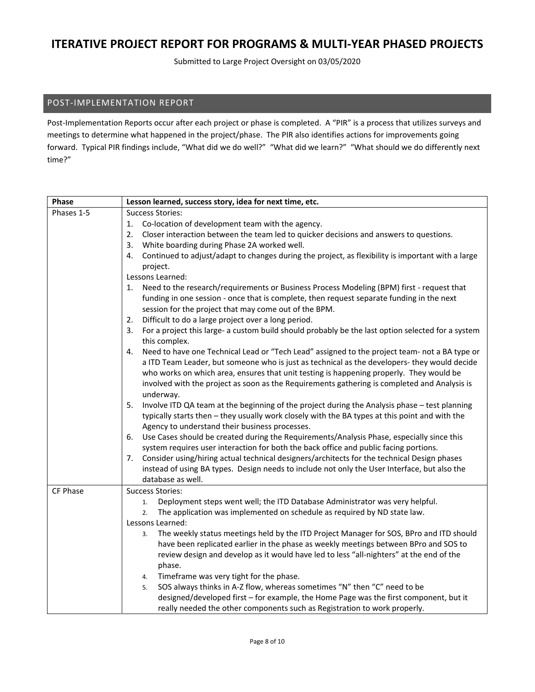Submitted to Large Project Oversight on 03/05/2020

#### POST‐IMPLEMENTATION REPORT

Post-Implementation Reports occur after each project or phase is completed. A "PIR" is a process that utilizes surveys and meetings to determine what happened in the project/phase. The PIR also identifies actions for improvements going forward. Typical PIR findings include, "What did we do well?" "What did we learn?" "What should we do differently next time?"

| Phase      | Lesson learned, success story, idea for next time, etc.                                                                  |  |  |
|------------|--------------------------------------------------------------------------------------------------------------------------|--|--|
| Phases 1-5 | <b>Success Stories:</b>                                                                                                  |  |  |
|            | Co-location of development team with the agency.<br>1.                                                                   |  |  |
|            | Closer interaction between the team led to quicker decisions and answers to questions.<br>2.                             |  |  |
|            | White boarding during Phase 2A worked well.<br>3.                                                                        |  |  |
|            | Continued to adjust/adapt to changes during the project, as flexibility is important with a large<br>4.                  |  |  |
|            | project.                                                                                                                 |  |  |
|            | Lessons Learned:                                                                                                         |  |  |
|            | Need to the research/requirements or Business Process Modeling (BPM) first - request that<br>1.                          |  |  |
|            | funding in one session - once that is complete, then request separate funding in the next                                |  |  |
|            | session for the project that may come out of the BPM.                                                                    |  |  |
|            | Difficult to do a large project over a long period.<br>2.                                                                |  |  |
|            | For a project this large- a custom build should probably be the last option selected for a system<br>3.<br>this complex. |  |  |
|            | Need to have one Technical Lead or "Tech Lead" assigned to the project team- not a BA type or<br>4.                      |  |  |
|            | a ITD Team Leader, but someone who is just as technical as the developers- they would decide                             |  |  |
|            | who works on which area, ensures that unit testing is happening properly. They would be                                  |  |  |
|            | involved with the project as soon as the Requirements gathering is completed and Analysis is                             |  |  |
|            | underway.                                                                                                                |  |  |
|            | Involve ITD QA team at the beginning of the project during the Analysis phase - test planning<br>5.                      |  |  |
|            | typically starts then - they usually work closely with the BA types at this point and with the                           |  |  |
|            | Agency to understand their business processes.                                                                           |  |  |
|            | Use Cases should be created during the Requirements/Analysis Phase, especially since this<br>6.                          |  |  |
|            | system requires user interaction for both the back office and public facing portions.                                    |  |  |
|            | Consider using/hiring actual technical designers/architects for the technical Design phases<br>7.                        |  |  |
|            | instead of using BA types. Design needs to include not only the User Interface, but also the                             |  |  |
|            | database as well.                                                                                                        |  |  |
| CF Phase   | <b>Success Stories:</b>                                                                                                  |  |  |
|            | Deployment steps went well; the ITD Database Administrator was very helpful.<br>1.                                       |  |  |
|            | The application was implemented on schedule as required by ND state law.<br>2.                                           |  |  |
|            | Lessons Learned:                                                                                                         |  |  |
|            | The weekly status meetings held by the ITD Project Manager for SOS, BPro and ITD should<br>3.                            |  |  |
|            | have been replicated earlier in the phase as weekly meetings between BPro and SOS to                                     |  |  |
|            | review design and develop as it would have led to less "all-nighters" at the end of the                                  |  |  |
|            | phase.                                                                                                                   |  |  |
|            | Timeframe was very tight for the phase.<br>4.                                                                            |  |  |
|            | SOS always thinks in A-Z flow, whereas sometimes "N" then "C" need to be<br>5.                                           |  |  |
|            | designed/developed first - for example, the Home Page was the first component, but it                                    |  |  |
|            | really needed the other components such as Registration to work properly.                                                |  |  |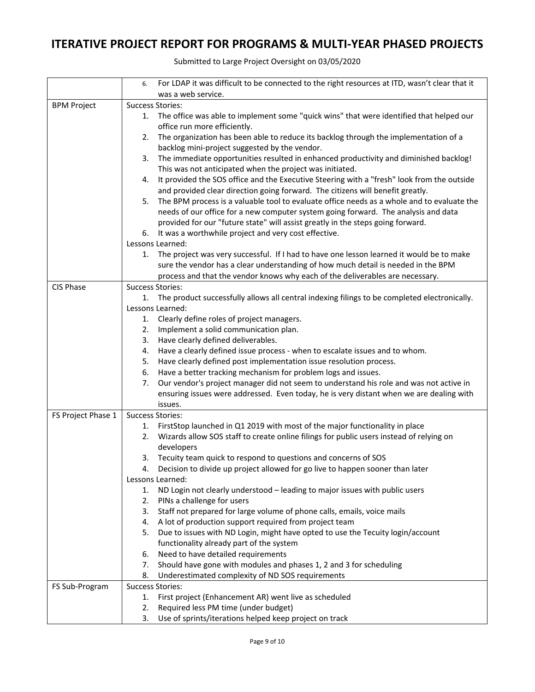|                    | For LDAP it was difficult to be connected to the right resources at ITD, wasn't clear that it<br>6. |
|--------------------|-----------------------------------------------------------------------------------------------------|
|                    | was a web service.                                                                                  |
| <b>BPM Project</b> | <b>Success Stories:</b>                                                                             |
|                    | 1. The office was able to implement some "quick wins" that were identified that helped our          |
|                    | office run more efficiently.                                                                        |
|                    | The organization has been able to reduce its backlog through the implementation of a<br>2.          |
|                    | backlog mini-project suggested by the vendor.                                                       |
|                    | The immediate opportunities resulted in enhanced productivity and diminished backlog!<br>3.         |
|                    | This was not anticipated when the project was initiated.                                            |
|                    | It provided the SOS office and the Executive Steering with a "fresh" look from the outside<br>4.    |
|                    | and provided clear direction going forward. The citizens will benefit greatly.                      |
|                    | The BPM process is a valuable tool to evaluate office needs as a whole and to evaluate the<br>5.    |
|                    | needs of our office for a new computer system going forward. The analysis and data                  |
|                    | provided for our "future state" will assist greatly in the steps going forward.                     |
|                    | 6. It was a worthwhile project and very cost effective.                                             |
|                    | Lessons Learned:                                                                                    |
|                    | The project was very successful. If I had to have one lesson learned it would be to make<br>1.      |
|                    | sure the vendor has a clear understanding of how much detail is needed in the BPM                   |
|                    | process and that the vendor knows why each of the deliverables are necessary.                       |
| CIS Phase          | <b>Success Stories:</b>                                                                             |
|                    | The product successfully allows all central indexing filings to be completed electronically.<br>1.  |
|                    | Lessons Learned:                                                                                    |
|                    | 1. Clearly define roles of project managers.                                                        |
|                    | Implement a solid communication plan.<br>2.                                                         |
|                    | Have clearly defined deliverables.<br>3.                                                            |
|                    | Have a clearly defined issue process - when to escalate issues and to whom.<br>4.                   |
|                    | Have clearly defined post implementation issue resolution process.<br>5.                            |
|                    | Have a better tracking mechanism for problem logs and issues.<br>6.                                 |
|                    | Our vendor's project manager did not seem to understand his role and was not active in<br>7.        |
|                    | ensuring issues were addressed. Even today, he is very distant when we are dealing with             |
|                    | issues.                                                                                             |
| FS Project Phase 1 | <b>Success Stories:</b>                                                                             |
|                    | FirstStop launched in Q1 2019 with most of the major functionality in place<br>1.                   |
|                    | Wizards allow SOS staff to create online filings for public users instead of relying on<br>2.       |
|                    | developers                                                                                          |
|                    | 3. Tecuity team quick to respond to questions and concerns of SOS                                   |
|                    | Decision to divide up project allowed for go live to happen sooner than later                       |
|                    | Lessons Learned:                                                                                    |
|                    | ND Login not clearly understood - leading to major issues with public users<br>1.                   |
|                    | 2.<br>PINs a challenge for users                                                                    |
|                    | Staff not prepared for large volume of phone calls, emails, voice mails<br>3.                       |
|                    | A lot of production support required from project team<br>4.                                        |
|                    | Due to issues with ND Login, might have opted to use the Tecuity login/account<br>5.                |
|                    | functionality already part of the system                                                            |
|                    | Need to have detailed requirements<br>6.                                                            |
|                    | Should have gone with modules and phases 1, 2 and 3 for scheduling<br>7.                            |
|                    | Underestimated complexity of ND SOS requirements<br>8.                                              |
| FS Sub-Program     | <b>Success Stories:</b>                                                                             |
|                    | First project (Enhancement AR) went live as scheduled<br>1.                                         |
|                    | Required less PM time (under budget)<br>2.                                                          |
|                    | Use of sprints/iterations helped keep project on track<br>3.                                        |

Submitted to Large Project Oversight on 03/05/2020